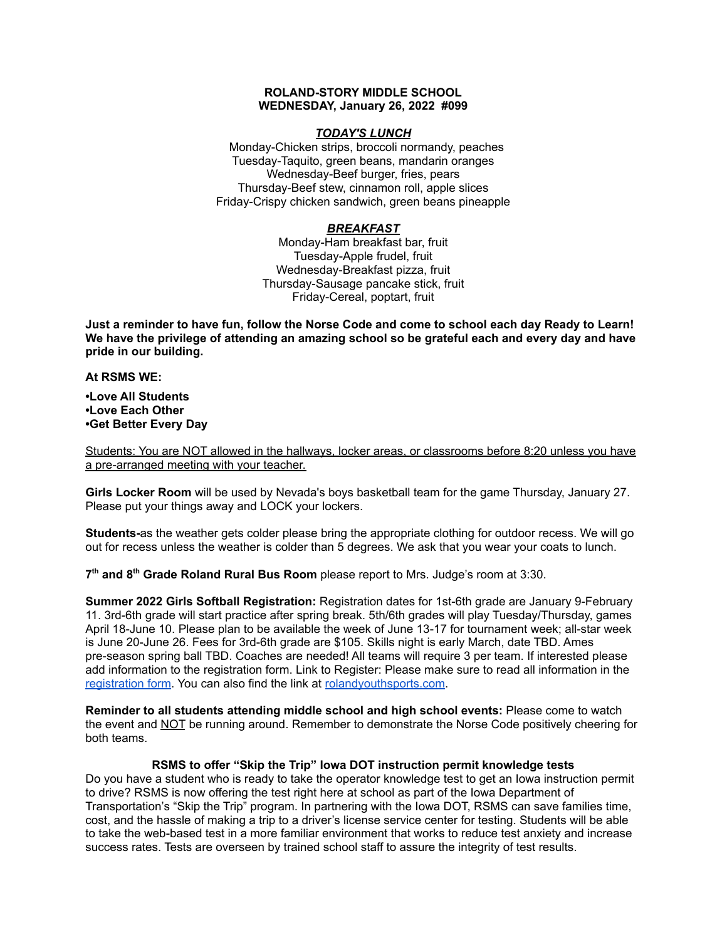#### **ROLAND-STORY MIDDLE SCHOOL WEDNESDAY, January 26, 2022 #099**

#### *TODAY'S LUNCH*

Monday-Chicken strips, broccoli normandy, peaches Tuesday-Taquito, green beans, mandarin oranges Wednesday-Beef burger, fries, pears Thursday-Beef stew, cinnamon roll, apple slices Friday-Crispy chicken sandwich, green beans pineapple

# *BREAKFAST*

Monday-Ham breakfast bar, fruit Tuesday-Apple frudel, fruit Wednesday-Breakfast pizza, fruit Thursday-Sausage pancake stick, fruit Friday-Cereal, poptart, fruit

Just a reminder to have fun, follow the Norse Code and come to school each day Ready to Learn! **We have the privilege of attending an amazing school so be grateful each and every day and have pride in our building.**

#### **At RSMS WE:**

**•Love All Students •Love Each Other •Get Better Every Day**

Students: You are NOT allowed in the hallways, locker areas, or classrooms before 8:20 unless you have a pre-arranged meeting with your teacher.

**Girls Locker Room** will be used by Nevada's boys basketball team for the game Thursday, January 27. Please put your things away and LOCK your lockers.

**Students-**as the weather gets colder please bring the appropriate clothing for outdoor recess. We will go out for recess unless the weather is colder than 5 degrees. We ask that you wear your coats to lunch.

**7 th and 8 th Grade Roland Rural Bus Room** please report to Mrs. Judge's room at 3:30.

**Summer 2022 Girls Softball Registration:** Registration dates for 1st-6th grade are January 9-February 11. 3rd-6th grade will start practice after spring break. 5th/6th grades will play Tuesday/Thursday, games April 18-June 10. Please plan to be available the week of June 13-17 for tournament week; all-star week is June 20-June 26. Fees for 3rd-6th grade are \$105. Skills night is early March, date TBD. Ames pre-season spring ball TBD. Coaches are needed! All teams will require 3 per team. If interested please add information to the registration form. Link to Register: Please make sure to read all information in th[e](https://rolandyouthsports.com/summer-2022-softball-registration-form/) [registration](https://rolandyouthsports.com/summer-2022-softball-registration-form/) form. You can also find the link at [rolandyouthsports.com](http://rolandyouthsports.com/).

**Reminder to all students attending middle school and high school events:** Please come to watch the event and NOT be running around. Remember to demonstrate the Norse Code positively cheering for both teams.

## **RSMS to offer "Skip the Trip" Iowa DOT instruction permit knowledge tests**

Do you have a student who is ready to take the operator knowledge test to get an Iowa instruction permit to drive? RSMS is now offering the test right here at school as part of the Iowa Department of Transportation's "Skip the Trip" program. In partnering with the Iowa DOT, RSMS can save families time, cost, and the hassle of making a trip to a driver's license service center for testing. Students will be able to take the web-based test in a more familiar environment that works to reduce test anxiety and increase success rates. Tests are overseen by trained school staff to assure the integrity of test results.